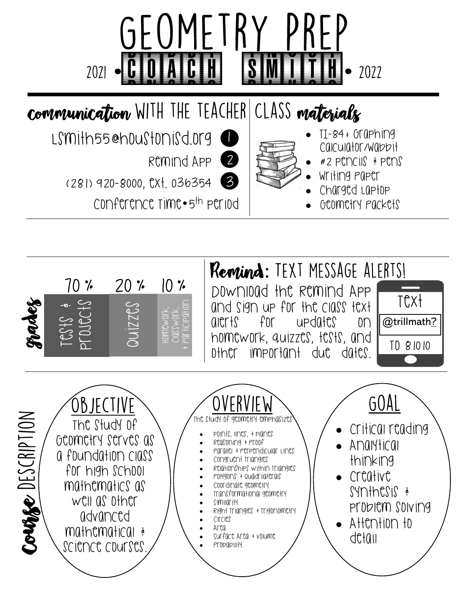



alerts for updates on

@trillmath?